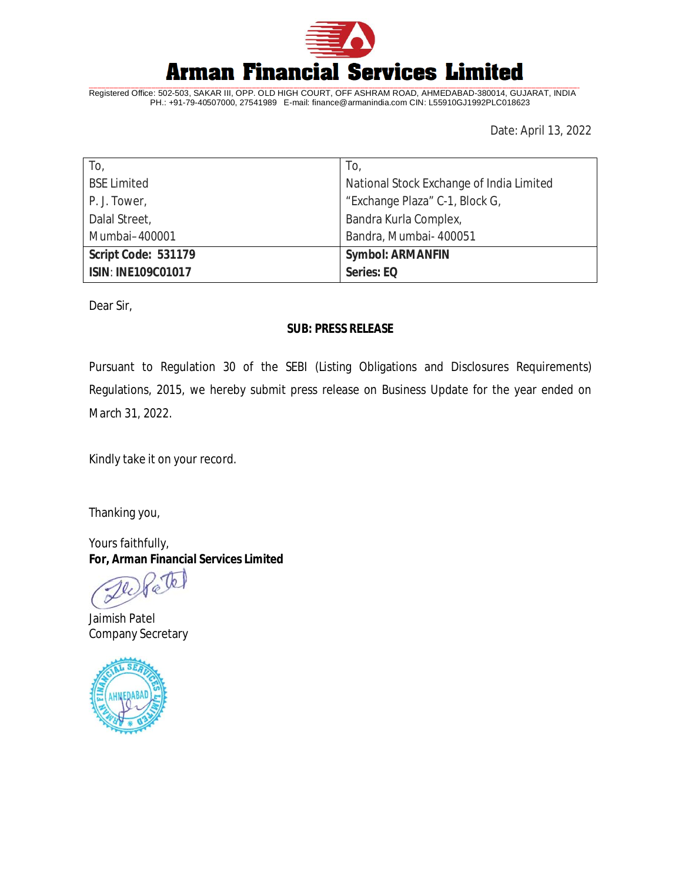

Registered Office: 502-503, SAKAR III, OPP. OLD HIGH COURT, OFF ASHRAM ROAD, AHMEDABAD-380014, GUJARAT, INDIA PH.: +91-79-40507000, 27541989 E-mail: [finance@armanindia.com](mailto:finance@armanindia.com) CIN: L55910GJ1992PLC018623

Date: April 13, 2022

| To,                       | To,                                      |
|---------------------------|------------------------------------------|
| <b>BSE Limited</b>        | National Stock Exchange of India Limited |
| P. J. Tower,              | "Exchange Plaza" C-1, Block G,           |
| Dalal Street,             | Bandra Kurla Complex,                    |
| Mumbai-400001             | Bandra, Mumbai- 400051                   |
| Script Code: 531179       | <b>Symbol: ARMANFIN</b>                  |
| <b>ISIN: INE109C01017</b> | Series: EQ                               |

Dear Sir,

### **SUB: PRESS RELEASE**

Pursuant to Regulation 30 of the SEBI (Listing Obligations and Disclosures Requirements) Regulations, 2015, we hereby submit press release on Business Update for the year ended on March 31, 2022.

Kindly take it on your record.

Thanking you,

Yours faithfully, **For, Arman Financial Services Limited**

7b.

Jaimish Patel Company Secretary

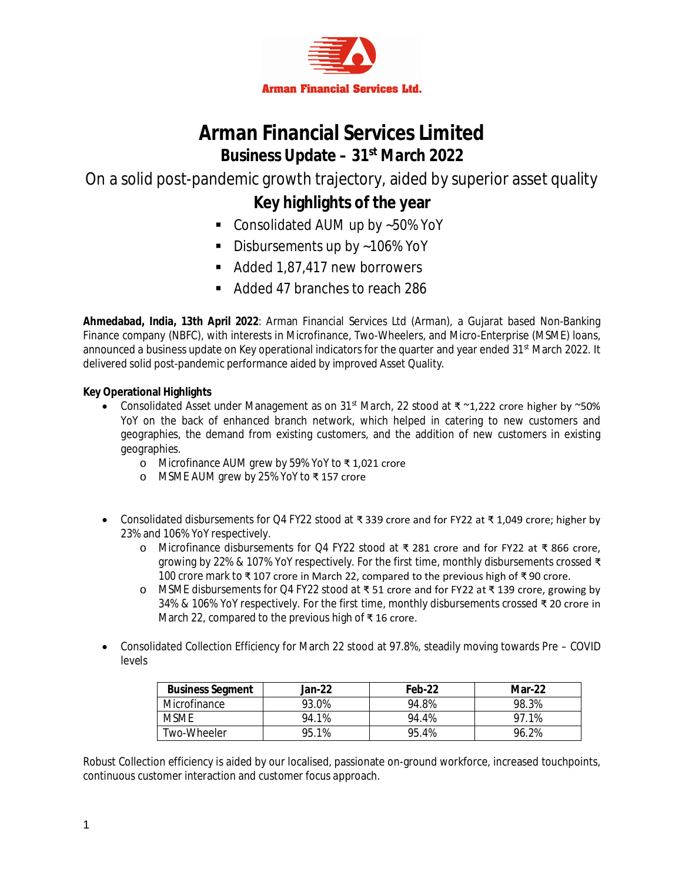

# **Arman Financial Services Limited Business Update – 31st March 2022**

On a solid post-pandemic growth trajectory, aided by superior asset quality

## **Key highlights of the year**

- Consolidated AUM up by ~50% YoY
- Disbursements up by ~106% YoY
- Added 1,87,417 new borrowers
- Added 47 branches to reach 286

**Ahmedabad, India, 13th April 2022**: Arman Financial Services Ltd (Arman), a Gujarat based Non-Banking Finance company (NBFC), with interests in Microfinance, Two-Wheelers, and Micro-Enterprise (MSME) loans, announced a business update on Key operational indicators for the quarter and year ended 31<sup>st</sup> March 2022. It delivered solid post-pandemic performance aided by improved Asset Quality.

## **Key Operational Highlights**

- Consolidated Asset under Management as on 31<sup>st</sup> March, 22 stood at ₹  $\sim$ 1,222 crore higher by  $\sim$ 50% YoY on the back of enhanced branch network, which helped in catering to new customers and geographies, the demand from existing customers, and the addition of new customers in existing geographies.
	- o Microfinance AUM grew by 59% YoY to ₹ 1,021 crore
	- o MSME AUM grew by 25% YoY to ₹ 157 crore
- Consolidated disbursements for Q4 FY22 stood at ₹ 339 crore and for FY22 at ₹ 1,049 crore; higher by 23% and 106% YoY respectively.
	- o Microfinance disbursements for Q4 FY22 stood at ₹ 281 crore and for FY22 at ₹ 866 crore, growing by 22% & 107% YoY respectively. For the first time, monthly disbursements crossed ₹ 100 crore mark to ₹ 107 crore in March 22, compared to the previous high of ₹ 90 crore.
	- o MSME disbursements for Q4 FY22 stood at ₹ 51 crore and for FY22 at ₹ 139 crore, growing by 34% & 106% YoY respectively. For the first time, monthly disbursements crossed ₹ 20 crore in March 22, compared to the previous high of ₹ 16 crore.
- Consolidated Collection Efficiency for March 22 stood at 97.8%, steadily moving towards Pre COVID levels

| <b>Business Segment</b> | Jan-22 | Feb-22 | $Mar-22$ |
|-------------------------|--------|--------|----------|
| Microfinance            | 93.0%  | 94.8%  | 98.3%    |
| <b>MSMF</b>             | 94.1%  | 94.4%  | 97 1%    |
| Two-Wheeler             | 95.1%  | 95.4%  | 96.2%    |

Robust Collection efficiency is aided by our localised, passionate on-ground workforce, increased touchpoints, continuous customer interaction and customer focus approach.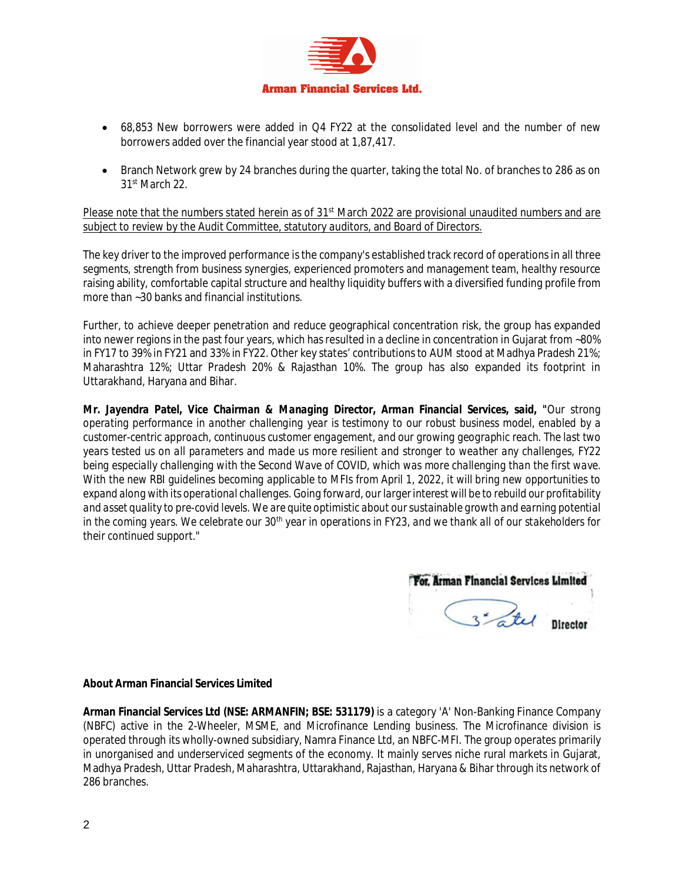

- 68,853 New borrowers were added in Q4 FY22 at the consolidated level and the number of new borrowers added over the financial year stood at 1,87,417.
- Branch Network grew by 24 branches during the quarter, taking the total No. of branches to 286 as on 31st March 22.

Please note that the numbers stated herein as of 31<sup>st</sup> March 2022 are provisional unaudited numbers and are subject to review by the Audit Committee, statutory auditors, and Board of Directors.

The key driver to the improved performance is the company's established track record of operations in all three segments, strength from business synergies, experienced promoters and management team, healthy resource raising ability, comfortable capital structure and healthy liquidity buffers with a diversified funding profile from more than ~30 banks and financial institutions.

Further, to achieve deeper penetration and reduce geographical concentration risk, the group has expanded into newer regions in the past four years, which has resulted in a decline in concentration in Gujarat from ~80% in FY17 to 39% in FY21 and 33% in FY22. Other key states' contributions to AUM stood at Madhya Pradesh 21%; Maharashtra 12%; Uttar Pradesh 20% & Rajasthan 10%. The group has also expanded its footprint in Uttarakhand, Haryana and Bihar.

*Mr. Jayendra Patel, Vice Chairman & Managing Director, Arman Financial Services, said, "Our strong operating performance in another challenging year is testimony to our robust business model, enabled by a customer-centric approach, continuous customer engagement, and our growing geographic reach. The last two years tested us on all parameters and made us more resilient and stronger to weather any challenges, FY22 being especially challenging with the Second Wave of COVID, which was more challenging than the first wave. With the new RBI guidelines becoming applicable to MFIs from April 1, 2022, it will bring new opportunities to expand along with its operational challenges. Going forward, our larger interest will be to rebuild our profitability*  and asset quality to pre-covid levels. We are quite optimistic about our sustainable growth and earning potential *in the coming years. We celebrate our 30th year in operations in FY23, and we thank all of our stakeholders for their continued support."* 

For. Arman Financial Services Limited 3 - Lel Director

#### **About Arman Financial Services Limited**

**Arman Financial Services Ltd (NSE: ARMANFIN; BSE: 531179)** is a category 'A' Non-Banking Finance Company (NBFC) active in the 2-Wheeler, MSME, and Microfinance Lending business. The Microfinance division is operated through its wholly-owned subsidiary, Namra Finance Ltd, an NBFC-MFI. The group operates primarily in unorganised and underserviced segments of the economy. It mainly serves niche rural markets in Gujarat, Madhya Pradesh, Uttar Pradesh, Maharashtra, Uttarakhand, Rajasthan, Haryana & Bihar through its network of 286 branches.